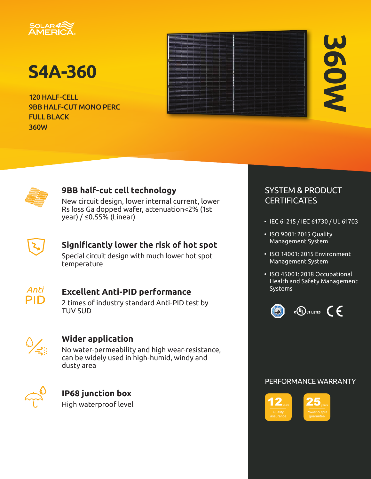

# **S4A-360**

120 HALF-CELL 9BB HALF-CUT MONO PERC FULL BLACK 360W

# **360W**



### **9BB half-cut cell technology**

New circuit design, lower internal current, lower Rs loss Ga dopped wafer, attenuation<2% (1st year) / ≤0.55% (Linear)



### **Significantly lower the risk of hot spot**

Special circuit design with much lower hot spot temperature



### **Excellent Anti-PID performance**

2 times of industry standard Anti-PID test by TUV SUD



### **Wider application**

No water-permeability and high wear-resistance, can be widely used in high-humid, windy and dusty area



### **IP68 junction box**

High waterproof level

### SYSTEM & PRODUCT **CERTIFICATES**

- IEC 61215 / IEC 61730 / UL 61703
- ISO 9001: 2015 Quality Management System
- ISO 14001: 2015 Environment Management System
- ISO 45001: 2018 Occupational Health and Safety Management Systems



### PERFORMANCE WARRANTY